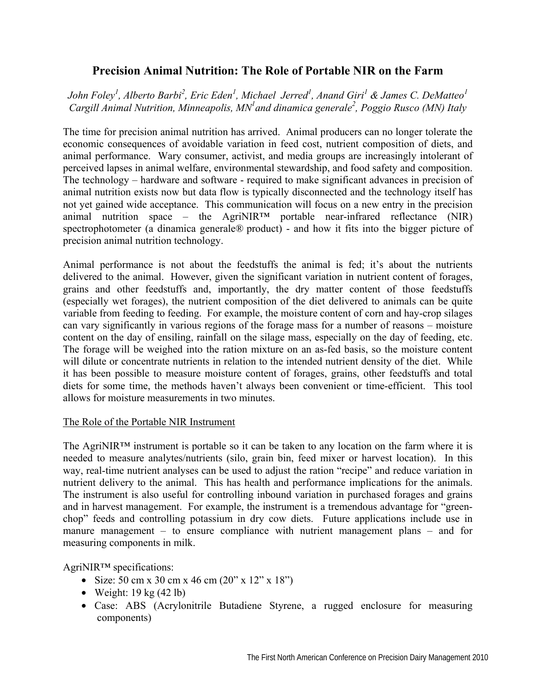## **Precision Animal Nutrition: The Role of Portable NIR on the Farm**

*John Foley<sup>1</sup>*, Alberto Barbi<sup>2</sup>, Eric Eden<sup>1</sup>, Michael Jerred<sup>1</sup>, Anand Giri<sup>1</sup> & James C. DeMatteo<sup>1</sup> Cargill Animal Nutrition, Minneapolis, MN<sup>1</sup> and dinamica generale<sup>2</sup>, Poggio Rusco (MN) Italy

The time for precision animal nutrition has arrived. Animal producers can no longer tolerate the economic consequences of avoidable variation in feed cost, nutrient composition of diets, and animal performance. Wary consumer, activist, and media groups are increasingly intolerant of perceived lapses in animal welfare, environmental stewardship, and food safety and composition. The technology – hardware and software - required to make significant advances in precision of animal nutrition exists now but data flow is typically disconnected and the technology itself has not yet gained wide acceptance. This communication will focus on a new entry in the precision animal nutrition space – the AgriNIR<sup>TM</sup> portable near-infrared reflectance (NIR) spectrophotometer (a dinamica generale® product) - and how it fits into the bigger picture of precision animal nutrition technology.

Animal performance is not about the feedstuffs the animal is fed; it's about the nutrients delivered to the animal. However, given the significant variation in nutrient content of forages, grains and other feedstuffs and, importantly, the dry matter content of those feedstuffs (especially wet forages), the nutrient composition of the diet delivered to animals can be quite variable from feeding to feeding. For example, the moisture content of corn and hay-crop silages can vary significantly in various regions of the forage mass for a number of reasons – moisture content on the day of ensiling, rainfall on the silage mass, especially on the day of feeding, etc. The forage will be weighed into the ration mixture on an as-fed basis, so the moisture content will dilute or concentrate nutrients in relation to the intended nutrient density of the diet. While it has been possible to measure moisture content of forages, grains, other feedstuffs and total diets for some time, the methods haven't always been convenient or time-efficient. This tool allows for moisture measurements in two minutes.

## The Role of the Portable NIR Instrument

The AgriNIR™ instrument is portable so it can be taken to any location on the farm where it is needed to measure analytes/nutrients (silo, grain bin, feed mixer or harvest location). In this way, real-time nutrient analyses can be used to adjust the ration "recipe" and reduce variation in nutrient delivery to the animal. This has health and performance implications for the animals. The instrument is also useful for controlling inbound variation in purchased forages and grains and in harvest management. For example, the instrument is a tremendous advantage for "greenchop" feeds and controlling potassium in dry cow diets. Future applications include use in manure management – to ensure compliance with nutrient management plans – and for measuring components in milk.

AgriNIR™ specifications:

- Size: 50 cm x 30 cm x 46 cm  $(20'' \times 12'' \times 18'')$
- Weight:  $19 \text{ kg} (42 \text{ lb})$
- Case: ABS (Acrylonitrile Butadiene Styrene, a rugged enclosure for measuring components)